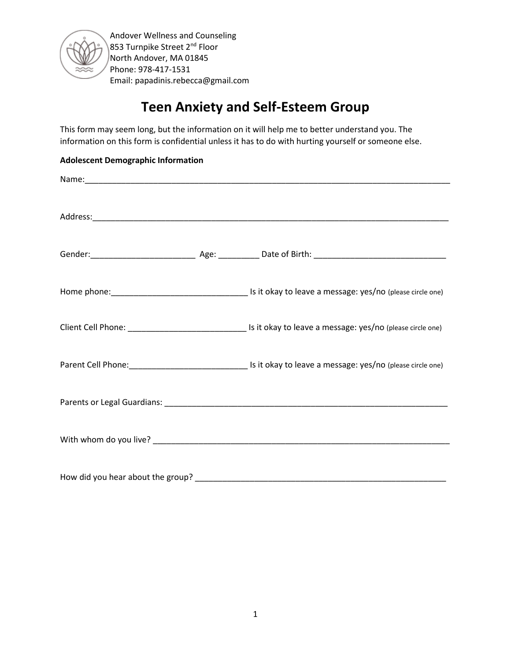

# **Teen Anxiety and Self-Esteem Group**

This form may seem long, but the information on it will help me to better understand you. The information on this form is confidential unless it has to do with hurting yourself or someone else.

### **Adolescent Demographic Information**

| How did you hear about the group? |  |
|-----------------------------------|--|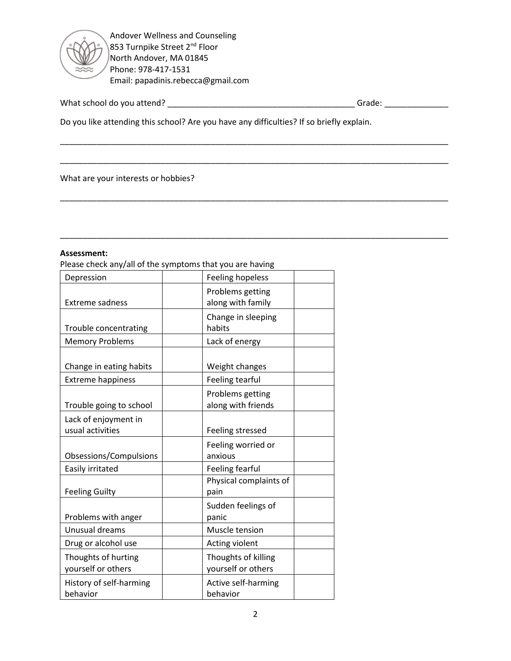

What school do you attend? \_\_\_\_\_\_\_\_\_\_\_\_\_\_\_\_\_\_\_\_\_\_\_\_\_\_\_\_\_\_\_\_\_\_\_\_\_\_\_\_\_ Grade: \_\_\_\_\_\_\_\_\_\_\_\_\_\_

Do you like attending this school? Are you have any difficulties? If so briefly explain.

\_\_\_\_\_\_\_\_\_\_\_\_\_\_\_\_\_\_\_\_\_\_\_\_\_\_\_\_\_\_\_\_\_\_\_\_\_\_\_\_\_\_\_\_\_\_\_\_\_\_\_\_\_\_\_\_\_\_\_\_\_\_\_\_\_\_\_\_\_\_\_\_\_\_\_\_\_\_\_\_\_\_\_\_\_

\_\_\_\_\_\_\_\_\_\_\_\_\_\_\_\_\_\_\_\_\_\_\_\_\_\_\_\_\_\_\_\_\_\_\_\_\_\_\_\_\_\_\_\_\_\_\_\_\_\_\_\_\_\_\_\_\_\_\_\_\_\_\_\_\_\_\_\_\_\_\_\_\_\_\_\_\_\_\_\_\_\_\_\_\_

\_\_\_\_\_\_\_\_\_\_\_\_\_\_\_\_\_\_\_\_\_\_\_\_\_\_\_\_\_\_\_\_\_\_\_\_\_\_\_\_\_\_\_\_\_\_\_\_\_\_\_\_\_\_\_\_\_\_\_\_\_\_\_\_\_\_\_\_\_\_\_\_\_\_\_\_\_\_\_\_\_\_\_\_\_

\_\_\_\_\_\_\_\_\_\_\_\_\_\_\_\_\_\_\_\_\_\_\_\_\_\_\_\_\_\_\_\_\_\_\_\_\_\_\_\_\_\_\_\_\_\_\_\_\_\_\_\_\_\_\_\_\_\_\_\_\_\_\_\_\_\_\_\_\_\_\_\_\_\_\_\_\_\_\_\_\_\_\_\_\_

What are your interests or hobbies?

#### **Assessment:**

Please check any/all of the symptoms that you are having

| Depression                                          | <b>Feeling hopeless</b>                   |
|-----------------------------------------------------|-------------------------------------------|
| <b>Extreme sadness</b>                              | Problems getting<br>along with family     |
| Trouble concentrating                               | Change in sleeping<br>habits              |
| <b>Memory Problems</b>                              | Lack of energy                            |
| Change in eating habits<br><b>Extreme happiness</b> | Weight changes<br>Feeling tearful         |
| Trouble going to school                             | Problems getting<br>along with friends    |
| Lack of enjoyment in<br>usual activities            | Feeling stressed                          |
| Obsessions/Compulsions                              | Feeling worried or<br>anxious             |
| Easily irritated                                    | Feeling fearful                           |
| <b>Feeling Guilty</b>                               | Physical complaints of<br>pain            |
| Problems with anger                                 | Sudden feelings of<br>panic               |
| Unusual dreams                                      | Muscle tension                            |
| Drug or alcohol use                                 | Acting violent                            |
| Thoughts of hurting<br>yourself or others           | Thoughts of killing<br>yourself or others |
| History of self-harming<br>behavior                 | Active self-harming<br>behavior           |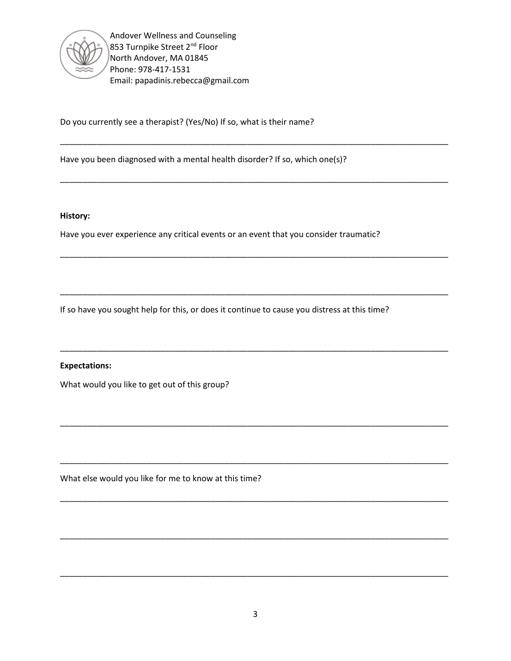

Do you currently see a therapist? (Yes/No) If so, what is their name?

Have you been diagnosed with a mental health disorder? If so, which one(s)?

#### **History:**

Have you ever experience any critical events or an event that you consider traumatic?

\_\_\_\_\_\_\_\_\_\_\_\_\_\_\_\_\_\_\_\_\_\_\_\_\_\_\_\_\_\_\_\_\_\_\_\_\_\_\_\_\_\_\_\_\_\_\_\_\_\_\_\_\_\_\_\_\_\_\_\_\_\_\_\_\_\_\_\_\_\_\_\_\_\_\_\_\_\_\_\_\_\_\_\_\_

\_\_\_\_\_\_\_\_\_\_\_\_\_\_\_\_\_\_\_\_\_\_\_\_\_\_\_\_\_\_\_\_\_\_\_\_\_\_\_\_\_\_\_\_\_\_\_\_\_\_\_\_\_\_\_\_\_\_\_\_\_\_\_\_\_\_\_\_\_\_\_\_\_\_\_\_\_\_\_\_\_\_\_\_\_

\_\_\_\_\_\_\_\_\_\_\_\_\_\_\_\_\_\_\_\_\_\_\_\_\_\_\_\_\_\_\_\_\_\_\_\_\_\_\_\_\_\_\_\_\_\_\_\_\_\_\_\_\_\_\_\_\_\_\_\_\_\_\_\_\_\_\_\_\_\_\_\_\_\_\_\_\_\_\_\_\_\_\_\_\_

\_\_\_\_\_\_\_\_\_\_\_\_\_\_\_\_\_\_\_\_\_\_\_\_\_\_\_\_\_\_\_\_\_\_\_\_\_\_\_\_\_\_\_\_\_\_\_\_\_\_\_\_\_\_\_\_\_\_\_\_\_\_\_\_\_\_\_\_\_\_\_\_\_\_\_\_\_\_\_\_\_\_\_\_\_

\_\_\_\_\_\_\_\_\_\_\_\_\_\_\_\_\_\_\_\_\_\_\_\_\_\_\_\_\_\_\_\_\_\_\_\_\_\_\_\_\_\_\_\_\_\_\_\_\_\_\_\_\_\_\_\_\_\_\_\_\_\_\_\_\_\_\_\_\_\_\_\_\_\_\_\_\_\_\_\_\_\_\_\_\_

\_\_\_\_\_\_\_\_\_\_\_\_\_\_\_\_\_\_\_\_\_\_\_\_\_\_\_\_\_\_\_\_\_\_\_\_\_\_\_\_\_\_\_\_\_\_\_\_\_\_\_\_\_\_\_\_\_\_\_\_\_\_\_\_\_\_\_\_\_\_\_\_\_\_\_\_\_\_\_\_\_\_\_\_\_

\_\_\_\_\_\_\_\_\_\_\_\_\_\_\_\_\_\_\_\_\_\_\_\_\_\_\_\_\_\_\_\_\_\_\_\_\_\_\_\_\_\_\_\_\_\_\_\_\_\_\_\_\_\_\_\_\_\_\_\_\_\_\_\_\_\_\_\_\_\_\_\_\_\_\_\_\_\_\_\_\_\_\_\_\_

\_\_\_\_\_\_\_\_\_\_\_\_\_\_\_\_\_\_\_\_\_\_\_\_\_\_\_\_\_\_\_\_\_\_\_\_\_\_\_\_\_\_\_\_\_\_\_\_\_\_\_\_\_\_\_\_\_\_\_\_\_\_\_\_\_\_\_\_\_\_\_\_\_\_\_\_\_\_\_\_\_\_\_\_\_

\_\_\_\_\_\_\_\_\_\_\_\_\_\_\_\_\_\_\_\_\_\_\_\_\_\_\_\_\_\_\_\_\_\_\_\_\_\_\_\_\_\_\_\_\_\_\_\_\_\_\_\_\_\_\_\_\_\_\_\_\_\_\_\_\_\_\_\_\_\_\_\_\_\_\_\_\_\_\_\_\_\_\_\_\_

\_\_\_\_\_\_\_\_\_\_\_\_\_\_\_\_\_\_\_\_\_\_\_\_\_\_\_\_\_\_\_\_\_\_\_\_\_\_\_\_\_\_\_\_\_\_\_\_\_\_\_\_\_\_\_\_\_\_\_\_\_\_\_\_\_\_\_\_\_\_\_\_\_\_\_\_\_\_\_\_\_\_\_\_\_

If so have you sought help for this, or does it continue to cause you distress at this time?

#### **Expectations:**

What would you like to get out of this group?

What else would you like for me to know at this time?